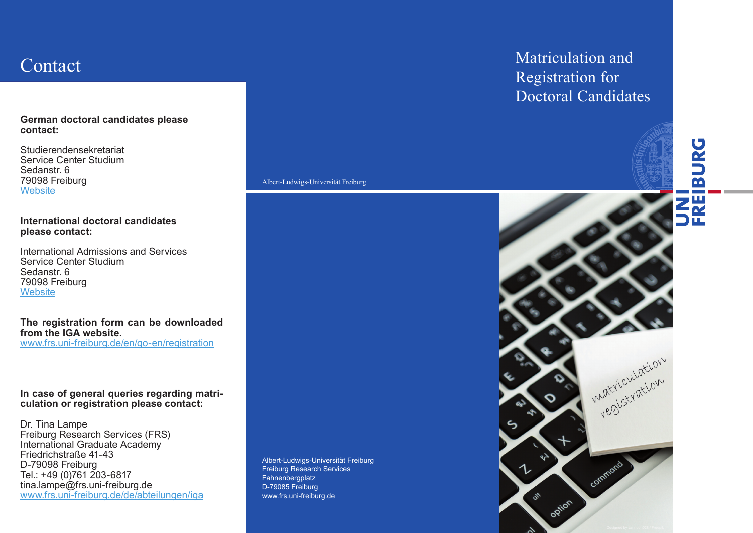### **German doctoral candidates please contact:**

Studierendensekretariat Service Center Studium Sedanstr. 6 79098 Freiburg **Website** 

### **International doctoral candidates please contact:**

International Admissions and Services Service Center Studium Sedanstr. 6 79098 Freiburg **Website** 

#### **The registration form can be downloaded from the IGA website.** www.frs.uni-freiburg.de/en/go-en/registration

### **In case of general queries regarding matriculation or registration please contact:**

Dr. Tina Lampe Freiburg Research Services (FRS) International Graduate Academy Friedrichstraße 41-43 D-79098 Freiburg Tel.: +49 (0)761 203-6817 tina.lampe@frs.uni-freiburg.de www.frs.uni-freiburg.de/de/abteilungen/iga

Albert-Ludwigs-Universität Freiburg Freiburg Research Services Fahnenbergplatz D-79085 Freiburg www.frs.uni-freiburg.de

Albert-Ludwigs-Universität Freiburg Albert-Ludwigs-Universität Freiburg

### Contact Matriculation and Matriculation and Matriculation and Matriculation and Matriculation and Matriculation and  $\Gamma$ Registration for Doctoral Candidates